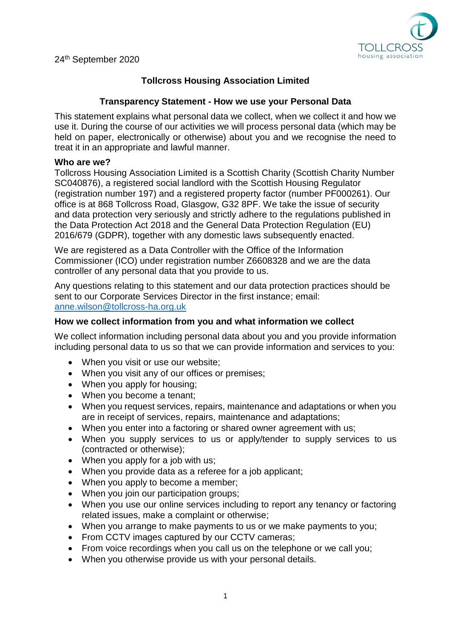

24th September 2020

# **Tollcross Housing Association Limited**

# **Transparency Statement - How we use your Personal Data**

This statement explains what personal data we collect, when we collect it and how we use it. During the course of our activities we will process personal data (which may be held on paper, electronically or otherwise) about you and we recognise the need to treat it in an appropriate and lawful manner.

#### **Who are we?**

Tollcross Housing Association Limited is a Scottish Charity (Scottish Charity Number SC040876), a registered social landlord with the Scottish Housing Regulator (registration number 197) and a registered property factor (number PF000261). Our office is at 868 Tollcross Road, Glasgow, G32 8PF. We take the issue of security and data protection very seriously and strictly adhere to the regulations published in the Data Protection Act 2018 and the General Data Protection Regulation (EU) 2016/679 (GDPR), together with any domestic laws subsequently enacted.

We are registered as a Data Controller with the Office of the Information Commissioner (ICO) under registration number Z6608328 and we are the data controller of any personal data that you provide to us.

Any questions relating to this statement and our data protection practices should be sent to our Corporate Services Director in the first instance; email: [anne.wilson@tollcross-ha.org.uk](mailto:anne.wilson@tollcross-ha.org.uk)

#### **How we collect information from you and what information we collect**

We collect information including personal data about you and you provide information including personal data to us so that we can provide information and services to you:

- When you visit or use our website;
- When you visit any of our offices or premises;
- When you apply for housing;
- When you become a tenant;
- When you request services, repairs, maintenance and adaptations or when you are in receipt of services, repairs, maintenance and adaptations;
- When you enter into a factoring or shared owner agreement with us;
- When you supply services to us or apply/tender to supply services to us (contracted or otherwise);
- When you apply for a job with us:
- When you provide data as a referee for a job applicant;
- When you apply to become a member;
- When you join our participation groups;
- When you use our online services including to report any tenancy or factoring related issues, make a complaint or otherwise;
- When you arrange to make payments to us or we make payments to you;
- From CCTV images captured by our CCTV cameras;
- From voice recordings when you call us on the telephone or we call you;
- When you otherwise provide us with your personal details.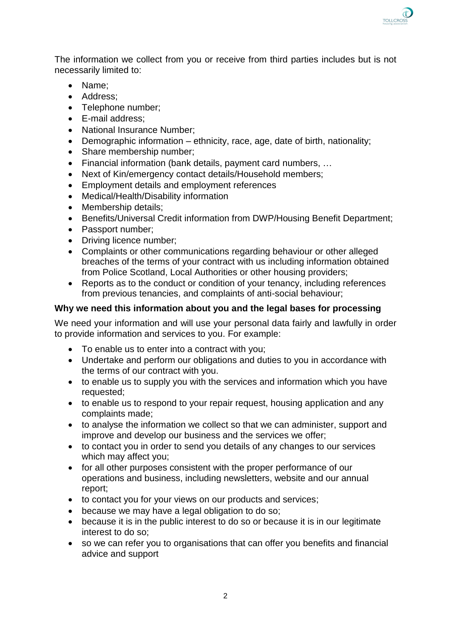The information we collect from you or receive from third parties includes but is not necessarily limited to:

- Name;
- Address:
- Telephone number;
- E-mail address:
- National Insurance Number:
- Demographic information ethnicity, race, age, date of birth, nationality;
- Share membership number:
- Financial information (bank details, payment card numbers, …
- Next of Kin/emergency contact details/Household members;
- Employment details and employment references
- Medical/Health/Disability information
- Membership details;
- Benefits/Universal Credit information from DWP/Housing Benefit Department;
- Passport number:
- Driving licence number;
- Complaints or other communications regarding behaviour or other alleged breaches of the terms of your contract with us including information obtained from Police Scotland, Local Authorities or other housing providers;
- Reports as to the conduct or condition of your tenancy, including references from previous tenancies, and complaints of anti-social behaviour;

# **Why we need this information about you and the legal bases for processing**

We need your information and will use your personal data fairly and lawfully in order to provide information and services to you. For example:

- To enable us to enter into a contract with you;
- Undertake and perform our obligations and duties to you in accordance with the terms of our contract with you.
- to enable us to supply you with the services and information which you have requested;
- to enable us to respond to your repair request, housing application and any complaints made;
- to analyse the information we collect so that we can administer, support and improve and develop our business and the services we offer;
- to contact you in order to send you details of any changes to our services which may affect you;
- for all other purposes consistent with the proper performance of our operations and business, including newsletters, website and our annual report;
- to contact you for your views on our products and services;
- **•** because we may have a legal obligation to do so;
- because it is in the public interest to do so or because it is in our legitimate interest to do so;
- so we can refer you to organisations that can offer you benefits and financial advice and support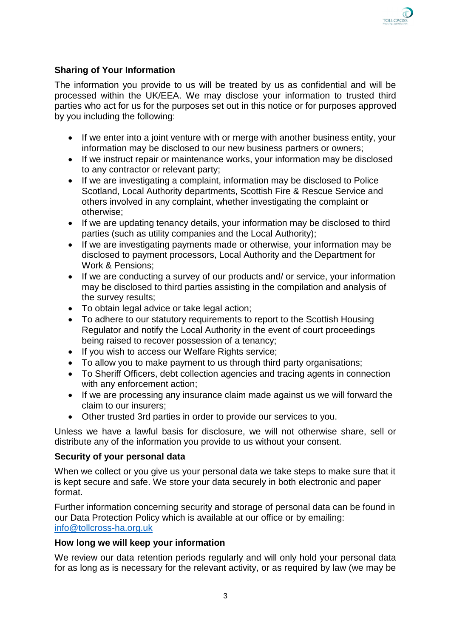The information you provide to us will be treated by us as confidential and will be processed within the UK/EEA. We may disclose your information to trusted third parties who act for us for the purposes set out in this notice or for purposes approved by you including the following:

- If we enter into a joint venture with or merge with another business entity, your information may be disclosed to our new business partners or owners;
- If we instruct repair or maintenance works, your information may be disclosed to any contractor or relevant party;
- If we are investigating a complaint, information may be disclosed to Police Scotland, Local Authority departments, Scottish Fire & Rescue Service and others involved in any complaint, whether investigating the complaint or otherwise;
- If we are updating tenancy details, your information may be disclosed to third parties (such as utility companies and the Local Authority);
- If we are investigating payments made or otherwise, your information may be disclosed to payment processors, Local Authority and the Department for Work & Pensions;
- If we are conducting a survey of our products and/ or service, your information may be disclosed to third parties assisting in the compilation and analysis of the survey results;
- To obtain legal advice or take legal action;
- To adhere to our statutory requirements to report to the Scottish Housing Regulator and notify the Local Authority in the event of court proceedings being raised to recover possession of a tenancy;
- If you wish to access our Welfare Rights service;
- To allow you to make payment to us through third party organisations;
- To Sheriff Officers, debt collection agencies and tracing agents in connection with any enforcement action;
- If we are processing any insurance claim made against us we will forward the claim to our insurers;
- Other trusted 3rd parties in order to provide our services to you.

Unless we have a lawful basis for disclosure, we will not otherwise share, sell or distribute any of the information you provide to us without your consent.

## **Security of your personal data**

When we collect or you give us your personal data we take steps to make sure that it is kept secure and safe. We store your data securely in both electronic and paper format.

Further information concerning security and storage of personal data can be found in our Data Protection Policy which is available at our office or by emailing: [info@tollcross-ha.org.uk](mailto:info@tollcross-ha.org.uk)

## **How long we will keep your information**

We review our data retention periods regularly and will only hold your personal data for as long as is necessary for the relevant activity, or as required by law (we may be